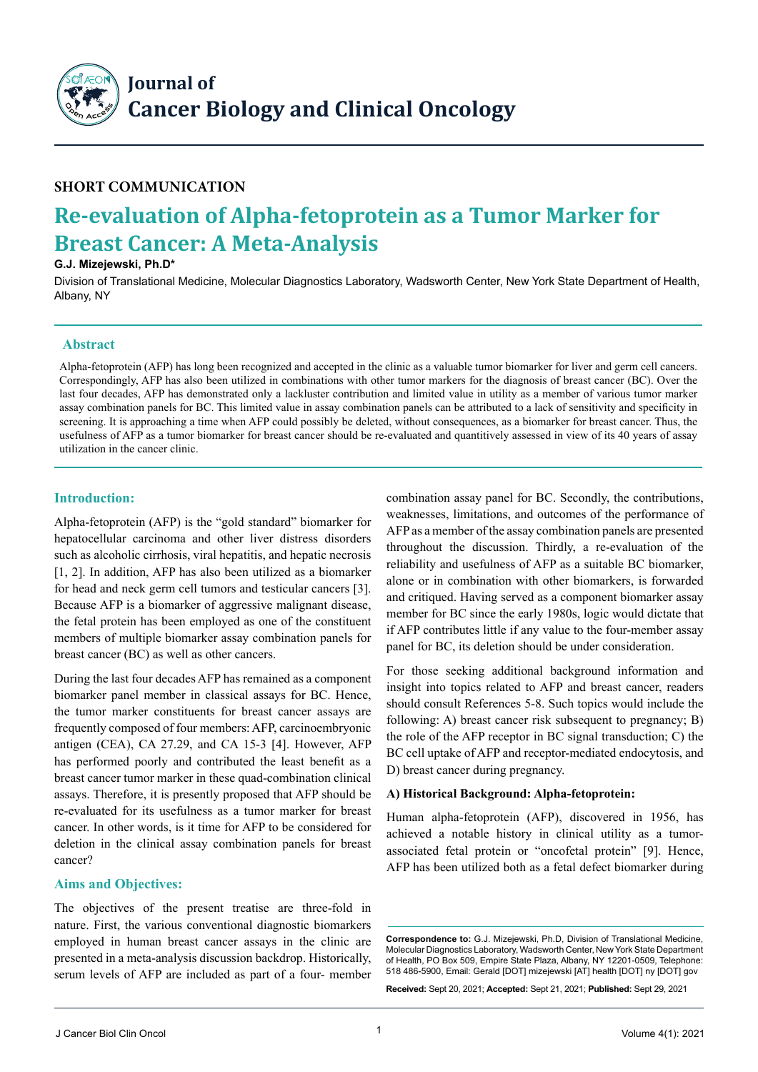

## **Short Communication**

# **Re-evaluation of Alpha-fetoprotein as a Tumor Marker for Breast Cancer: A Meta-Analysis**

#### **G.J. Mizejewski, Ph.D\***

Division of Translational Medicine, Molecular Diagnostics Laboratory, Wadsworth Center, New York State Department of Health, Albany, NY

#### **Abstract**

Alpha-fetoprotein (AFP) has long been recognized and accepted in the clinic as a valuable tumor biomarker for liver and germ cell cancers. Correspondingly, AFP has also been utilized in combinations with other tumor markers for the diagnosis of breast cancer (BC). Over the last four decades, AFP has demonstrated only a lackluster contribution and limited value in utility as a member of various tumor marker assay combination panels for BC. This limited value in assay combination panels can be attributed to a lack of sensitivity and specificity in screening. It is approaching a time when AFP could possibly be deleted, without consequences, as a biomarker for breast cancer. Thus, the usefulness of AFP as a tumor biomarker for breast cancer should be re-evaluated and quantitively assessed in view of its 40 years of assay utilization in the cancer clinic.

## **Introduction:**

Alpha-fetoprotein (AFP) is the "gold standard" biomarker for hepatocellular carcinoma and other liver distress disorders such as alcoholic cirrhosis, viral hepatitis, and hepatic necrosis [1, 2]. In addition, AFP has also been utilized as a biomarker for head and neck germ cell tumors and testicular cancers [3]. Because AFP is a biomarker of aggressive malignant disease, the fetal protein has been employed as one of the constituent members of multiple biomarker assay combination panels for breast cancer (BC) as well as other cancers.

During the last four decades AFP has remained as a component biomarker panel member in classical assays for BC. Hence, the tumor marker constituents for breast cancer assays are frequently composed of four members: AFP, carcinoembryonic antigen (CEA), CA 27.29, and CA 15-3 [4]. However, AFP has performed poorly and contributed the least benefit as a breast cancer tumor marker in these quad-combination clinical assays. Therefore, it is presently proposed that AFP should be re-evaluated for its usefulness as a tumor marker for breast cancer. In other words, is it time for AFP to be considered for deletion in the clinical assay combination panels for breast cancer?

### **Aims and Objectives:**

The objectives of the present treatise are three-fold in nature. First, the various conventional diagnostic biomarkers employed in human breast cancer assays in the clinic are presented in a meta-analysis discussion backdrop. Historically, serum levels of AFP are included as part of a four- member combination assay panel for BC. Secondly, the contributions, weaknesses, limitations, and outcomes of the performance of AFP as a member of the assay combination panels are presented throughout the discussion. Thirdly, a re-evaluation of the reliability and usefulness of AFP as a suitable BC biomarker, alone or in combination with other biomarkers, is forwarded and critiqued. Having served as a component biomarker assay member for BC since the early 1980s, logic would dictate that if AFP contributes little if any value to the four-member assay panel for BC, its deletion should be under consideration.

For those seeking additional background information and insight into topics related to AFP and breast cancer, readers should consult References 5-8. Such topics would include the following: A) breast cancer risk subsequent to pregnancy; B) the role of the AFP receptor in BC signal transduction; C) the BC cell uptake of AFP and receptor-mediated endocytosis, and D) breast cancer during pregnancy.

### **A) Historical Background: Alpha-fetoprotein:**

Human alpha-fetoprotein (AFP), discovered in 1956, has achieved a notable history in clinical utility as a tumorassociated fetal protein or "oncofetal protein" [9]. Hence, AFP has been utilized both as a fetal defect biomarker during

**Received:** Sept 20, 2021; **Accepted:** Sept 21, 2021; **Published:** Sept 29, 2021

**Correspondence to:** G.J. Mizejewski, Ph.D, Division of Translational Medicine, Molecular Diagnostics Laboratory, Wadsworth Center, New York State Department of Health, PO Box 509, Empire State Plaza, Albany, NY 12201-0509, Telephone: 518 486-5900, Email: Gerald [DOT] mizejewski [AT] health [DOT] ny [DOT] gov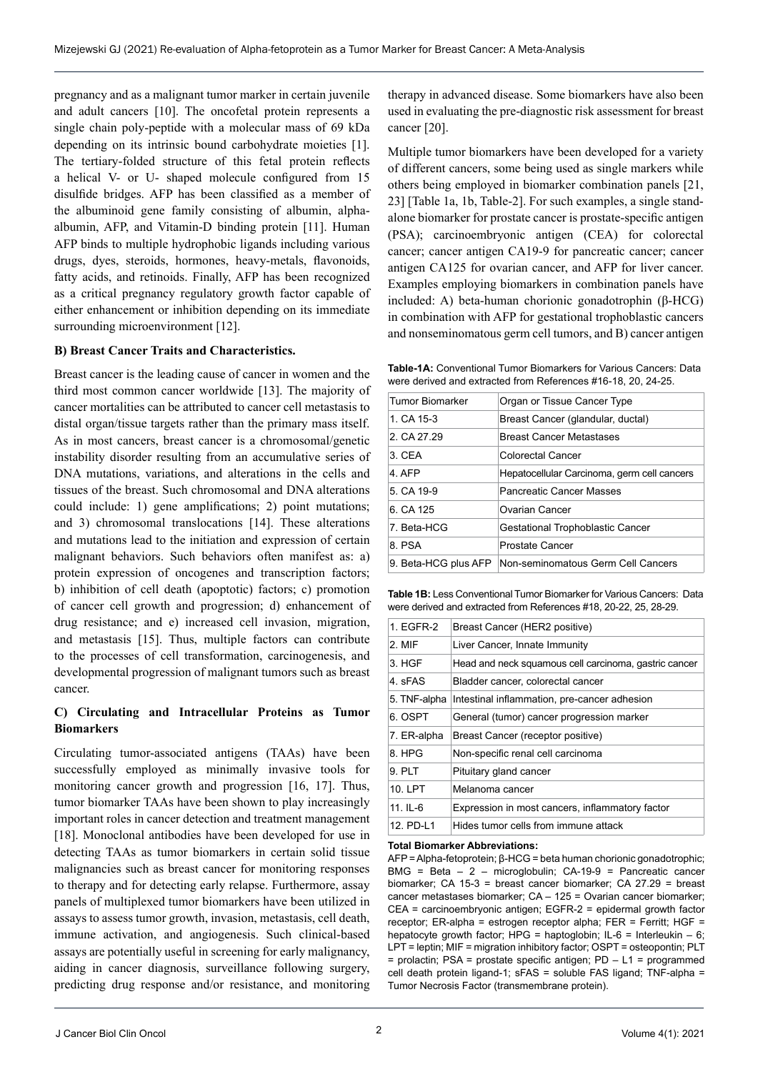pregnancy and as a malignant tumor marker in certain juvenile and adult cancers [10]. The oncofetal protein represents a single chain poly-peptide with a molecular mass of 69 kDa depending on its intrinsic bound carbohydrate moieties [1]. The tertiary-folded structure of this fetal protein reflects a helical V- or U- shaped molecule configured from 15 disulfide bridges. AFP has been classified as a member of the albuminoid gene family consisting of albumin, alphaalbumin, AFP, and Vitamin-D binding protein [11]. Human AFP binds to multiple hydrophobic ligands including various drugs, dyes, steroids, hormones, heavy-metals, flavonoids, fatty acids, and retinoids. Finally, AFP has been recognized as a critical pregnancy regulatory growth factor capable of either enhancement or inhibition depending on its immediate surrounding microenvironment [12].

#### **B) Breast Cancer Traits and Characteristics.**

Breast cancer is the leading cause of cancer in women and the third most common cancer worldwide [13]. The majority of cancer mortalities can be attributed to cancer cell metastasis to distal organ/tissue targets rather than the primary mass itself. As in most cancers, breast cancer is a chromosomal/genetic instability disorder resulting from an accumulative series of DNA mutations, variations, and alterations in the cells and tissues of the breast. Such chromosomal and DNA alterations could include: 1) gene amplifications; 2) point mutations; and 3) chromosomal translocations [14]. These alterations and mutations lead to the initiation and expression of certain malignant behaviors. Such behaviors often manifest as: a) protein expression of oncogenes and transcription factors; b) inhibition of cell death (apoptotic) factors; c) promotion of cancer cell growth and progression; d) enhancement of drug resistance; and e) increased cell invasion, migration, and metastasis [15]. Thus, multiple factors can contribute to the processes of cell transformation, carcinogenesis, and developmental progression of malignant tumors such as breast cancer.

### **C) Circulating and Intracellular Proteins as Tumor Biomarkers**

Circulating tumor-associated antigens (TAAs) have been successfully employed as minimally invasive tools for monitoring cancer growth and progression [16, 17]. Thus, tumor biomarker TAAs have been shown to play increasingly important roles in cancer detection and treatment management [18]. Monoclonal antibodies have been developed for use in detecting TAAs as tumor biomarkers in certain solid tissue malignancies such as breast cancer for monitoring responses to therapy and for detecting early relapse. Furthermore, assay panels of multiplexed tumor biomarkers have been utilized in assays to assess tumor growth, invasion, metastasis, cell death, immune activation, and angiogenesis. Such clinical-based assays are potentially useful in screening for early malignancy, aiding in cancer diagnosis, surveillance following surgery, predicting drug response and/or resistance, and monitoring therapy in advanced disease. Some biomarkers have also been used in evaluating the pre-diagnostic risk assessment for breast cancer [20].

Multiple tumor biomarkers have been developed for a variety of different cancers, some being used as single markers while others being employed in biomarker combination panels [21, 23] [Table 1a, 1b, Table-2]. For such examples, a single standalone biomarker for prostate cancer is prostate-specific antigen (PSA); carcinoembryonic antigen (CEA) for colorectal cancer; cancer antigen CA19-9 for pancreatic cancer; cancer antigen CA125 for ovarian cancer, and AFP for liver cancer. Examples employing biomarkers in combination panels have included: A) beta-human chorionic gonadotrophin (β-HCG) in combination with AFP for gestational trophoblastic cancers and nonseminomatous germ cell tumors, and B) cancer antigen

**Table-1A:** Conventional Tumor Biomarkers for Various Cancers: Data were derived and extracted from References #16-18, 20, 24-25.

| <b>Tumor Biomarker</b> | Organ or Tissue Cancer Type                 |  |  |
|------------------------|---------------------------------------------|--|--|
| 1. CA 15-3             | Breast Cancer (glandular, ductal)           |  |  |
| 2. CA 27.29            | <b>Breast Cancer Metastases</b>             |  |  |
| 3. CEA                 | Colorectal Cancer                           |  |  |
| 4 AFP                  | Hepatocellular Carcinoma, germ cell cancers |  |  |
| 5. CA 19-9             | <b>Pancreatic Cancer Masses</b>             |  |  |
| 6 CA 125               | Ovarian Cancer                              |  |  |
| 7. Beta-HCG            | <b>Gestational Trophoblastic Cancer</b>     |  |  |
| 8. PSA                 | <b>Prostate Cancer</b>                      |  |  |
| 9. Beta-HCG plus AFP   | Non-seminomatous Germ Cell Cancers          |  |  |

**Table 1B:** Less Conventional Tumor Biomarker for Various Cancers: Data were derived and extracted from References #18, 20-22, 25, 28-29.

| 1. EGFR-2    | Breast Cancer (HER2 positive)                         |
|--------------|-------------------------------------------------------|
| 2. MIF       | Liver Cancer, Innate Immunity                         |
| 3. HGF       | Head and neck squamous cell carcinoma, gastric cancer |
| 4. sFAS      | Bladder cancer, colorectal cancer                     |
| 5. TNF-alpha | Intestinal inflammation, pre-cancer adhesion          |
| 6. OSPT      | General (tumor) cancer progression marker             |
| 7. ER-alpha  | Breast Cancer (receptor positive)                     |
| 8. HPG       | Non-specific renal cell carcinoma                     |
| 9. PLT       | Pituitary gland cancer                                |
| 10. LPT      | Melanoma cancer                                       |
| 11. IL-6     | Expression in most cancers, inflammatory factor       |
| 12 PD-I 1    | Hides tumor cells from immune attack                  |

#### **Total Biomarker Abbreviations:**

AFP = Alpha-fetoprotein; β-HCG = beta human chorionic gonadotrophic; BMG = Beta – 2 – microglobulin; CA-19-9 = Pancreatic cancer biomarker; CA 15-3 = breast cancer biomarker; CA 27.29 = breast cancer metastases biomarker; CA – 125 = Ovarian cancer biomarker; CEA = carcinoembryonic antigen; EGFR-2 = epidermal growth factor receptor; ER-alpha = estrogen receptor alpha; FER = Ferritt; HGF = hepatocyte growth factor; HPG = haptoglobin; IL-6 = Interleukin – 6; LPT = leptin; MIF = migration inhibitory factor; OSPT = osteopontin; PLT  $=$  prolactin; PSA  $=$  prostate specific antigen; PD  $-$  L1  $=$  programmed cell death protein ligand-1; sFAS = soluble FAS ligand; TNF-alpha = Tumor Necrosis Factor (transmembrane protein).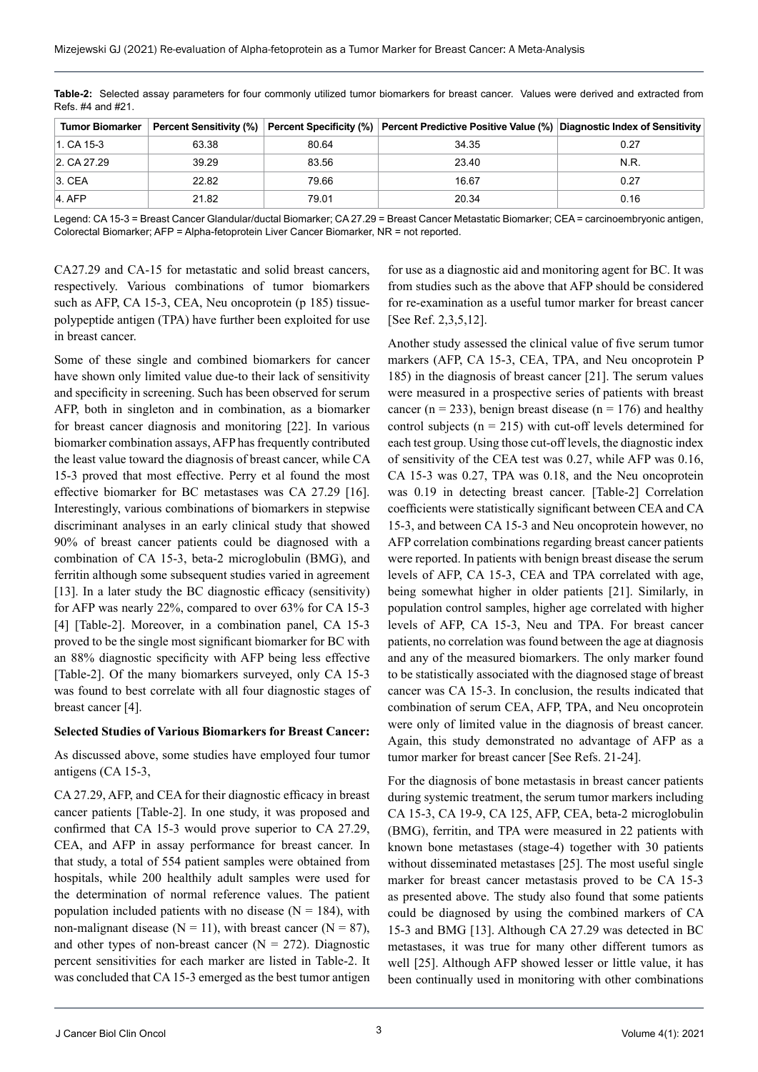| <b>Tumor Biomarker</b> |       |       | Percent Sensitivity (%) Percent Specificity (%) Percent Predictive Positive Value (%) Diagnostic Index of Sensitivity |      |
|------------------------|-------|-------|-----------------------------------------------------------------------------------------------------------------------|------|
| 1. CA 15-3             | 63.38 | 80.64 | 34.35                                                                                                                 | 0.27 |
| 2. CA 27.29            | 39.29 | 83.56 | 23.40                                                                                                                 | N.R. |
| $3.$ CEA               | 22.82 | 79.66 | 16.67                                                                                                                 | 0.27 |
| $4.$ AFP               | 21.82 | 79.01 | 20.34                                                                                                                 | 0.16 |

**Table-2:** Selected assay parameters for four commonly utilized tumor biomarkers for breast cancer. Values were derived and extracted from Refs. #4 and #21.

Legend: CA 15-3 = Breast Cancer Glandular/ductal Biomarker; CA 27.29 = Breast Cancer Metastatic Biomarker; CEA = carcinoembryonic antigen, Colorectal Biomarker; AFP = Alpha-fetoprotein Liver Cancer Biomarker, NR = not reported.

CA27.29 and CA-15 for metastatic and solid breast cancers, respectively. Various combinations of tumor biomarkers such as AFP, CA 15-3, CEA, Neu oncoprotein (p 185) tissuepolypeptide antigen (TPA) have further been exploited for use in breast cancer.

Some of these single and combined biomarkers for cancer have shown only limited value due-to their lack of sensitivity and specificity in screening. Such has been observed for serum AFP, both in singleton and in combination, as a biomarker for breast cancer diagnosis and monitoring [22]. In various biomarker combination assays, AFP has frequently contributed the least value toward the diagnosis of breast cancer, while CA 15-3 proved that most effective. Perry et al found the most effective biomarker for BC metastases was CA 27.29 [16]. Interestingly, various combinations of biomarkers in stepwise discriminant analyses in an early clinical study that showed 90% of breast cancer patients could be diagnosed with a combination of CA 15-3, beta-2 microglobulin (BMG), and ferritin although some subsequent studies varied in agreement [13]. In a later study the BC diagnostic efficacy (sensitivity) for AFP was nearly 22%, compared to over 63% for CA 15-3 [4] [Table-2]. Moreover, in a combination panel, CA 15-3 proved to be the single most significant biomarker for BC with an 88% diagnostic specificity with AFP being less effective [Table-2]. Of the many biomarkers surveyed, only CA 15-3 was found to best correlate with all four diagnostic stages of breast cancer [4].

#### **Selected Studies of Various Biomarkers for Breast Cancer:**

As discussed above, some studies have employed four tumor antigens (CA 15-3,

CA 27.29, AFP, and CEA for their diagnostic efficacy in breast cancer patients [Table-2]. In one study, it was proposed and confirmed that CA 15-3 would prove superior to CA 27.29, CEA, and AFP in assay performance for breast cancer. In that study, a total of 554 patient samples were obtained from hospitals, while 200 healthily adult samples were used for the determination of normal reference values. The patient population included patients with no disease  $(N = 184)$ , with non-malignant disease ( $N = 11$ ), with breast cancer ( $N = 87$ ), and other types of non-breast cancer  $(N = 272)$ . Diagnostic percent sensitivities for each marker are listed in Table-2. It was concluded that CA 15-3 emerged as the best tumor antigen

for use as a diagnostic aid and monitoring agent for BC. It was from studies such as the above that AFP should be considered for re-examination as a useful tumor marker for breast cancer [See Ref. 2,3,5,12].

Another study assessed the clinical value of five serum tumor markers (AFP, CA 15-3, CEA, TPA, and Neu oncoprotein P 185) in the diagnosis of breast cancer [21]. The serum values were measured in a prospective series of patients with breast cancer (n = 233), benign breast disease (n = 176) and healthy control subjects ( $n = 215$ ) with cut-off levels determined for each test group. Using those cut-off levels, the diagnostic index of sensitivity of the CEA test was 0.27, while AFP was 0.16, CA 15-3 was 0.27, TPA was 0.18, and the Neu oncoprotein was 0.19 in detecting breast cancer. [Table-2] Correlation coefficients were statistically significant between CEA and CA 15-3, and between CA 15-3 and Neu oncoprotein however, no AFP correlation combinations regarding breast cancer patients were reported. In patients with benign breast disease the serum levels of AFP, CA 15-3, CEA and TPA correlated with age, being somewhat higher in older patients [21]. Similarly, in population control samples, higher age correlated with higher levels of AFP, CA 15-3, Neu and TPA. For breast cancer patients, no correlation was found between the age at diagnosis and any of the measured biomarkers. The only marker found to be statistically associated with the diagnosed stage of breast cancer was CA 15-3. In conclusion, the results indicated that combination of serum CEA, AFP, TPA, and Neu oncoprotein were only of limited value in the diagnosis of breast cancer. Again, this study demonstrated no advantage of AFP as a tumor marker for breast cancer [See Refs. 21-24].

For the diagnosis of bone metastasis in breast cancer patients during systemic treatment, the serum tumor markers including CA 15-3, CA 19-9, CA 125, AFP, CEA, beta-2 microglobulin (BMG), ferritin, and TPA were measured in 22 patients with known bone metastases (stage-4) together with 30 patients without disseminated metastases [25]. The most useful single marker for breast cancer metastasis proved to be CA 15-3 as presented above. The study also found that some patients could be diagnosed by using the combined markers of CA 15-3 and BMG [13]. Although CA 27.29 was detected in BC metastases, it was true for many other different tumors as well [25]. Although AFP showed lesser or little value, it has been continually used in monitoring with other combinations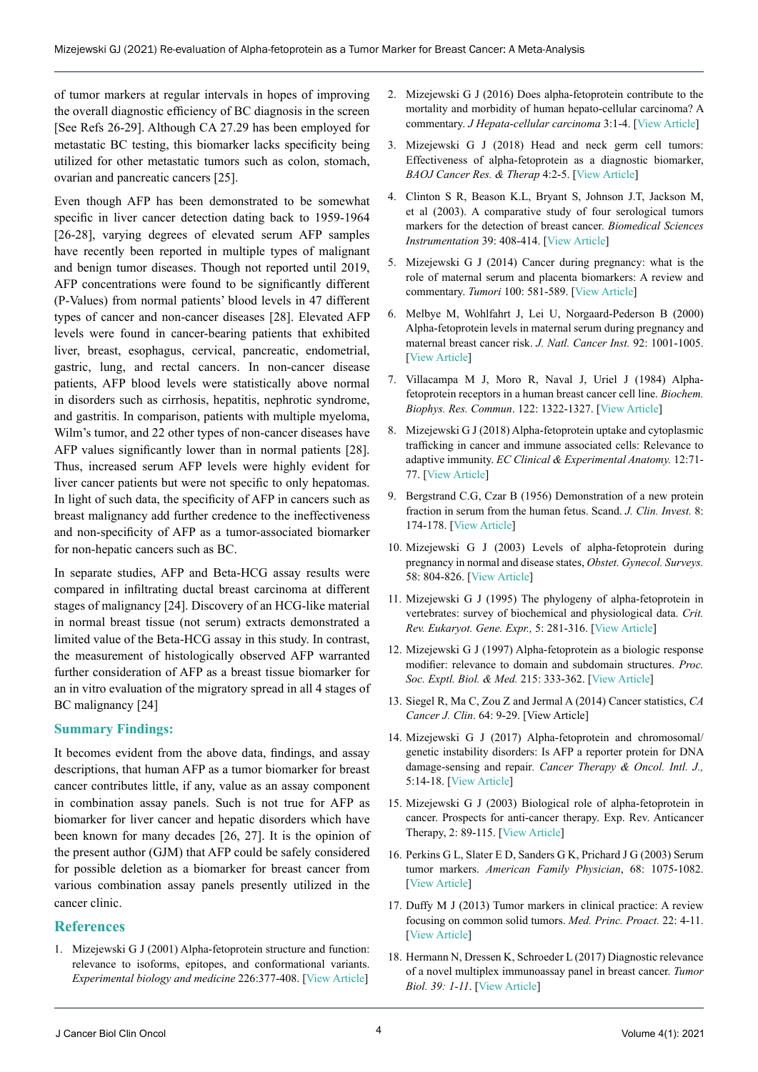of tumor markers at regular intervals in hopes of improving the overall diagnostic efficiency of BC diagnosis in the screen [See Refs 26-29]. Although CA 27.29 has been employed for metastatic BC testing, this biomarker lacks specificity being utilized for other metastatic tumors such as colon, stomach, ovarian and pancreatic cancers [25].

Even though AFP has been demonstrated to be somewhat specific in liver cancer detection dating back to 1959-1964 [26-28], varying degrees of elevated serum AFP samples have recently been reported in multiple types of malignant and benign tumor diseases. Though not reported until 2019, AFP concentrations were found to be significantly different (P-Values) from normal patients' blood levels in 47 different types of cancer and non-cancer diseases [28]. Elevated AFP levels were found in cancer-bearing patients that exhibited liver, breast, esophagus, cervical, pancreatic, endometrial, gastric, lung, and rectal cancers. In non-cancer disease patients, AFP blood levels were statistically above normal in disorders such as cirrhosis, hepatitis, nephrotic syndrome, and gastritis. In comparison, patients with multiple myeloma, Wilm's tumor, and 22 other types of non-cancer diseases have AFP values significantly lower than in normal patients [28]. Thus, increased serum AFP levels were highly evident for liver cancer patients but were not specific to only hepatomas. In light of such data, the specificity of AFP in cancers such as breast malignancy add further credence to the ineffectiveness and non-specificity of AFP as a tumor-associated biomarker for non-hepatic cancers such as BC.

In separate studies, AFP and Beta-HCG assay results were compared in infiltrating ductal breast carcinoma at different stages of malignancy [24]. Discovery of an HCG-like material in normal breast tissue (not serum) extracts demonstrated a limited value of the Beta-HCG assay in this study. In contrast, the measurement of histologically observed AFP warranted further consideration of AFP as a breast tissue biomarker for an in vitro evaluation of the migratory spread in all 4 stages of BC malignancy [24]

### **Summary Findings:**

It becomes evident from the above data, findings, and assay descriptions, that human AFP as a tumor biomarker for breast cancer contributes little, if any, value as an assay component in combination assay panels. Such is not true for AFP as biomarker for liver cancer and hepatic disorders which have been known for many decades [26, 27]. It is the opinion of the present author (GJM) that AFP could be safely considered for possible deletion as a biomarker for breast cancer from various combination assay panels presently utilized in the cancer clinic.

### **References**

1. Mizejewski G J (2001) Alpha-fetoprotein structure and function: relevance to isoforms, epitopes, and conformational variants. *Experimental biology and medicine* 226:377-408. [[View Article](https://journals.sagepub.com/doi/10.1177/153537020122600503)]

- 2. Mizejewski G J (2016) Does alpha-fetoprotein contribute to the mortality and morbidity of human hepato-cellular carcinoma? A commentary. *J Hepata-cellular carcinoma* 3:1-4. [[View Article](https://www.dovepress.com/does-alpha-fetoprotein-contribute-to-the-mortality-and-morbidity-of-hu-peer-reviewed-fulltext-article-JHC)]
- 3. Mizejewski G J (2018) Head and neck germ cell tumors: Effectiveness of alpha-fetoprotein as a diagnostic biomarker, *BAOJ Cancer Res. & Therap* 4:2-5. [[View Article\]](https://www.researchgate.net/publication/325297246_Head_and_Neck_Germ_Cell_Tumors_Effectiveness_of_Alpha-Fetoprotein_as_a_Diagnostic_Biomarker)
- 4. Clinton S R, Beason K.L, Bryant S, Johnson J.T, Jackson M, et al (2003). A comparative study of four serological tumors markers for the detection of breast cancer. *Biomedical Sciences Instrumentation* 39: 408-414. [[View Article\]](https://pubmed.ncbi.nlm.nih.gov/12724928/)
- 5. Mizejewski G J (2014) Cancer during pregnancy: what is the role of maternal serum and placenta biomarkers: A review and commentary. *Tumori* 100: 581-589. [[View Article](https://pubmed.ncbi.nlm.nih.gov/25688490/)]
- 6. Melbye M, Wohlfahrt J, Lei U, Norgaard-Pederson B (2000) Alpha-fetoprotein levels in maternal serum during pregnancy and maternal breast cancer risk. *J. Natl. Cancer Inst.* 92: 1001-1005. [[View Article\]](https://academic.oup.com/jnci/article/92/12/1001/2905799)
- 7. Villacampa M J, Moro R, Naval J, Uriel J (1984) Alphafetoprotein receptors in a human breast cancer cell line. *Biochem. Biophys. Res. Commun*. 122: 1322-1327. [[View Article](https://www.sciencedirect.com/science/article/abs/pii/0006291X84912361?via%3Dihub)]
- 8. Mizejewski G J (2018) Alpha-fetoprotein uptake and cytoplasmic trafficking in cancer and immune associated cells: Relevance to adaptive immunity. *EC Clinical & Experimental Anatomy.* 12:71- 77. [\[View Article](https://www.ncbi.nlm.nih.gov/pmc/articles/PMC7947232/)]
- 9. Bergstrand C.G, Czar B (1956) Demonstration of a new protein fraction in serum from the human fetus. Scand. *J. Clin. Invest.* 8: 174-178. [\[View Article](https://www.tandfonline.com/doi/abs/10.3109/00365515609049266)]
- 10. Mizejewski G J (2003) Levels of alpha-fetoprotein during pregnancy in normal and disease states, *Obstet. Gynecol. Surveys.* 58: 804-826. [\[View Article\]](https://journals.lww.com/obgynsurvey/Abstract/2003/12000/Levels_of_Alpha_Fetoprotein_During_Pregnancy_and.4.aspx)
- 11. Mizejewski G J (1995) The phylogeny of alpha-fetoprotein in vertebrates: survey of biochemical and physiological data. *Crit. Rev. Eukaryot. Gene. Expr.,* 5: 281-316. [\[View Article\]](https://www.dl.begellhouse.com/journals/6dbf508d3b17c437,1bf924415e55094a,661df77c3770e1d7.html)
- 12. Mizejewski G J (1997) Alpha-fetoprotein as a biologic response modifier: relevance to domain and subdomain structures. *Proc. Soc. Exptl. Biol. & Med.* 215: 333-362. [[View Article\]](https://journals.sagepub.com/doi/abs/10.3181/00379727-215-44143)
- 13. Siegel R, Ma C, Zou Z and Jermal A (2014) Cancer statistics, *CA Cancer J. Clin*. 64: 9-29. [View Article]
- 14. Mizejewski G J (2017) Alpha-fetoprotein and chromosomal/ genetic instability disorders: Is AFP a reporter protein for DNA damage-sensing and repair*. Cancer Therapy & Oncol. Intl. J.,* 5:14-18. [\[View Article](https://juniperpublishers.com/ctoij/pdf/CTOIJ.MS.ID.555670.pdf)]
- 15. Mizejewski G J (2003) Biological role of alpha-fetoprotein in cancer. Prospects for anti-cancer therapy. Exp. Rev. Anticancer Therapy, 2: 89-115. [[View Article](https://www.frontiersin.org/articles/10.3389/fonc.2021.625936/full)]
- 16. Perkins G L, Slater E D, Sanders G K, Prichard J G (2003) Serum tumor markers. *American Family Physician*, 68: 1075-1082. [[View Article\]](https://www.aafp.org/afp/2003/0915/p1075.html#:~:text=Tumor Markers In Common Use&text=In patients at high risk for recurrence%2C obtain CEA level,for at least 2 years.&text=In patients treated for nonseminomatous,year%2C and less frequently thereafte)
- 17. Duffy M J (2013) Tumor markers in clinical practice: A review focusing on common solid tumors. *Med. Princ. Proact.* 22: 4-11. [[View Article\]](https://www.karger.com/Article/Abstract/338393)
- 18. Hermann N, Dressen K, Schroeder L (2017) Diagnostic relevance of a novel multiplex immunoassay panel in breast cancer. *Tumor Biol. 39: 1-11*. [[View Article\]](https://journals.sagepub.com/doi/10.1177/1010428317711381)